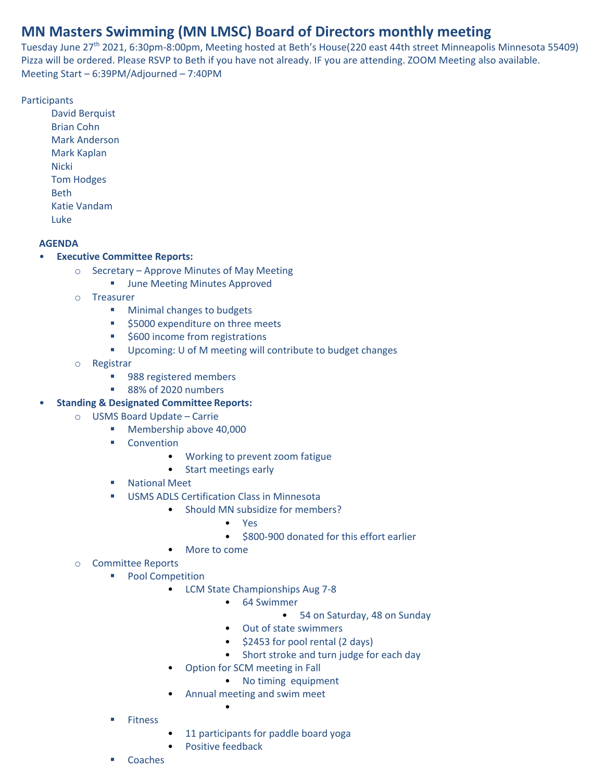# **MN Masters Swimming (MN LMSC) Board of Directors monthly meeting**

Tuesday June 27<sup>th</sup> 2021, 6:30pm-8:00pm, Meeting hosted at Beth's House(220 east 44th street Minneapolis Minnesota 55409) Pizza will be ordered. Please RSVP to Beth if you have not already. IF you are attending. ZOOM Meeting also available. Meeting Start – 6:39PM/Adjourned – 7:40PM

### **Participants**

David Berquist Brian Cohn Mark Anderson Mark Kaplan **Nicki** Tom Hodges Beth Katie Vandam Luke

#### **AGENDA**

## • **Executive Committee Reports:**

- o Secretary Approve Minutes of May Meeting
	- June Meeting Minutes Approved
- o Treasurer
	- Minimal changes to budgets
	- \$5000 expenditure on three meets
	- \$600 income from registrations
	- Upcoming: U of M meeting will contribute to budget changes
- o Registrar
	- 988 registered members
	- 88% of 2020 numbers
- **Standing & Designated Committee Reports:**
	- o USMS Board Update Carrie
		- Membership above 40,000
		- Convention
			- Working to prevent zoom fatigue
			- Start meetings early
		- National Meet
		- USMS ADLS Certification Class in Minnesota
			- Should MN subsidize for members?
				- Yes
				- \$800-900 donated for this effort earlier
				- More to come
	- o Committee Reports
		- Pool Competition
			- LCM State Championships Aug 7-8
				- 64 Swimmer
					- 54 on Saturday, 48 on Sunday
				- Out of state swimmers
				- \$2453 for pool rental (2 days)
				- Short stroke and turn judge for each day
			- Option for SCM meeting in Fall
				- No timing equipment
			- Annual meeting and swim meet
		- **Fitness**
- 11 participants for paddle board yoga
- Positive feedback

•

**Coaches**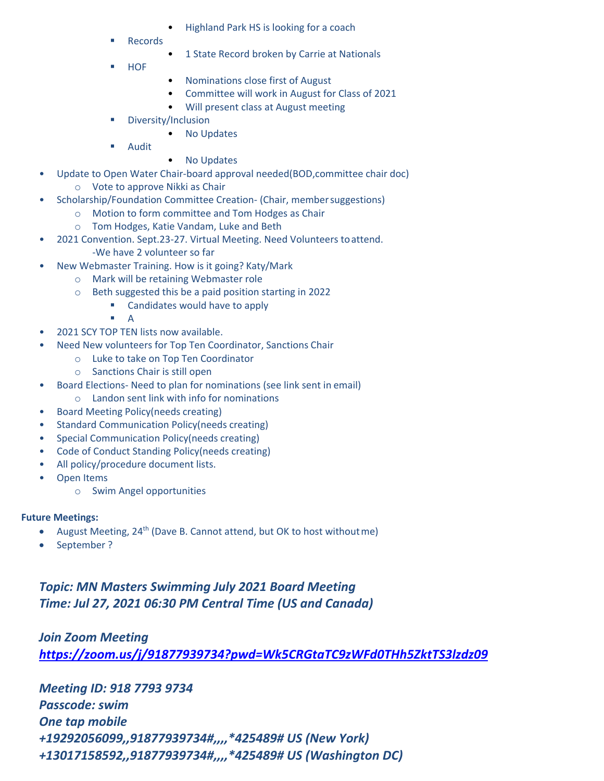- Highland Park HS is looking for a coach
- **Records**
- 1 State Record broken by Carrie at Nationals
- **HOF**
- Nominations close first of August
- Committee will work in August for Class of 2021
- Will present class at August meeting
- Diversity/Inclusion
	- No Updates
- **Audit**
- No Updates
- Update to Open Water Chair-board approval needed(BOD,committee chair doc)
	- o Vote to approve Nikki as Chair
- Scholarship/Foundation Committee Creation- (Chair, membersuggestions)
	- o Motion to form committee and Tom Hodges as Chair
	- o Tom Hodges, Katie Vandam, Luke and Beth
- 2021 Convention. Sept.23-27. Virtual Meeting. Need Volunteers toattend. -We have 2 volunteer so far
- New Webmaster Training. How is it going? Katy/Mark
	- o Mark will be retaining Webmaster role
	- o Beth suggested this be a paid position starting in 2022
		- Candidates would have to apply
			- A
- 2021 SCY TOP TEN lists now available.
- Need New volunteers for Top Ten Coordinator, Sanctions Chair
	- o Luke to take on Top Ten Coordinator
	- o Sanctions Chair is still open
- Board Elections- Need to plan for nominations (see link sent in email)
	- o Landon sent link with info for nominations
- Board Meeting Policy(needs creating)
- Standard Communication Policy(needs creating)
- Special Communication Policy(needs creating)
- Code of Conduct Standing Policy(needs creating)
- All policy/procedure document lists.
- Open Items
	- o Swim Angel opportunities

#### **Future Meetings:**

- August Meeting, 24<sup>th</sup> (Dave B. Cannot attend, but OK to host without me)
- September ?

*Topic: MN Masters Swimming July 2021 Board Meeting Time: Jul 27, 2021 06:30 PM Central Time (US and Canada)*

*Join Zoom Meeting <https://zoom.us/j/91877939734?pwd=Wk5CRGtaTC9zWFd0THh5ZktTS3lzdz09>*

*Meeting ID: 918 7793 9734 Passcode: swim One tap mobile +19292056099,,91877939734#,,,,\*425489# US (New York) +13017158592,,91877939734#,,,,\*425489# US (Washington DC)*